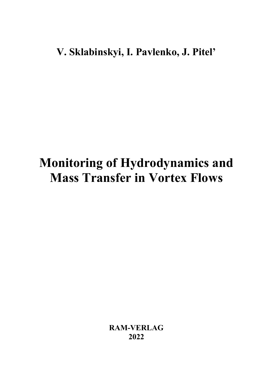### V. Sklabinskyi, I. Pavlenko, J. Pitel'

# Monitoring of Hydrodynamics and Mass Transfer in Vortex Flows

RAM-VERLAG 2022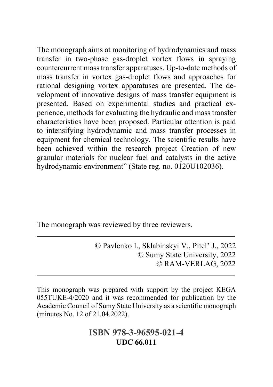The monograph aims at monitoring of hydrodynamics and mass transfer in two-phase gas-droplet vortex flows in spraying countercurrent mass transfer apparatuses. Up-to-date methods of mass transfer in vortex gas-droplet flows and approaches for rational designing vortex apparatuses are presented. The development of innovative designs of mass transfer equipment is presented. Based on experimental studies and practical experience, methods for evaluating the hydraulic and mass transfer characteristics have been proposed. Particular attention is paid to intensifying hydrodynamic and mass transfer processes in equipment for chemical technology. The scientific results have been achieved within the research project Creation of new granular materials for nuclear fuel and catalysts in the active hydrodynamic environment" (State reg. no. 0120U102036).

The monograph was reviewed by three reviewers.

 $\overline{a}$ 

 $\overline{a}$ 

© Pavlenko I., Sklabinskyi V., Pitel' J., 2022 © Sumy State University, 2022 © RAM-VERLAG, 2022

This monograph was prepared with support by the project KEGA 055TUKE-4/2020 and it was recommended for publication by the Academic Council of Sumy State University as a scientific monograph (minutes No. 12 of 21.04.2022).

### ISBN 978-3-96595-021-4 UDC 66.011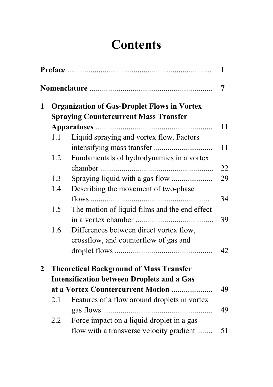# **Contents**

|              | 1                                                                                                  |                                                                                  |    |  |  |
|--------------|----------------------------------------------------------------------------------------------------|----------------------------------------------------------------------------------|----|--|--|
| 7            |                                                                                                    |                                                                                  |    |  |  |
| 1            | <b>Organization of Gas-Droplet Flows in Vortex</b><br><b>Spraying Countercurrent Mass Transfer</b> |                                                                                  |    |  |  |
|              |                                                                                                    |                                                                                  |    |  |  |
|              |                                                                                                    |                                                                                  | 11 |  |  |
|              | 1.1                                                                                                | Liquid spraying and vortex flow. Factors                                         | 11 |  |  |
|              | 1.2                                                                                                | Fundamentals of hydrodynamics in a vortex                                        | 22 |  |  |
|              | 1.3                                                                                                |                                                                                  | 29 |  |  |
|              | 1.4                                                                                                | Describing the movement of two-phase                                             |    |  |  |
|              |                                                                                                    |                                                                                  | 34 |  |  |
|              | 1.5                                                                                                | The motion of liquid films and the end effect                                    |    |  |  |
|              |                                                                                                    |                                                                                  | 39 |  |  |
|              | 1.6                                                                                                | Differences between direct vortex flow,<br>crossflow, and counterflow of gas and |    |  |  |
|              |                                                                                                    |                                                                                  | 42 |  |  |
| $\mathbf{2}$ |                                                                                                    | <b>Theoretical Background of Mass Transfer</b>                                   |    |  |  |
|              | <b>Intensification between Droplets and a Gas</b>                                                  |                                                                                  |    |  |  |
|              |                                                                                                    | at a Vortex Countercurrent Motion                                                | 49 |  |  |
|              | 2.1                                                                                                | Features of a flow around droplets in vortex                                     |    |  |  |
|              |                                                                                                    |                                                                                  | 49 |  |  |
|              | 2.2                                                                                                | Force impact on a liquid droplet in a gas                                        |    |  |  |
|              |                                                                                                    | flow with a transverse velocity gradient                                         | 51 |  |  |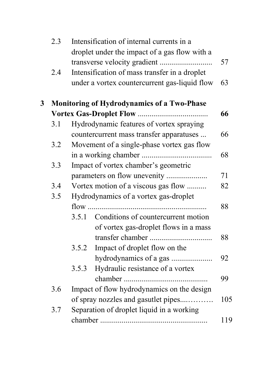|   | 2.3 | Intensification of internal currents in a<br>droplet under the impact of a gas flow with a |     |  |
|---|-----|--------------------------------------------------------------------------------------------|-----|--|
|   |     |                                                                                            | 57  |  |
|   | 2.4 | Intensification of mass transfer in a droplet                                              |     |  |
|   |     | under a vortex countercurrent gas-liquid flow                                              | 63  |  |
| 3 |     | <b>Monitoring of Hydrodynamics of a Two-Phase</b>                                          |     |  |
|   |     |                                                                                            |     |  |
|   | 3.1 | Hydrodynamic features of vortex spraying                                                   |     |  |
|   |     | countercurrent mass transfer apparatuses                                                   | 66  |  |
|   | 3.2 | Movement of a single-phase vortex gas flow                                                 |     |  |
|   |     |                                                                                            | 68  |  |
|   | 3.3 | Impact of vortex chamber's geometric                                                       |     |  |
|   |     | parameters on flow unevenity                                                               | 71  |  |
|   | 3.4 | Vortex motion of a viscous gas flow                                                        | 82  |  |
|   | 3.5 | Hydrodynamics of a vortex gas-droplet                                                      |     |  |
|   |     |                                                                                            | 88  |  |
|   |     | Conditions of countercurrent motion<br>3.5.1                                               |     |  |
|   |     | of vortex gas-droplet flows in a mass                                                      |     |  |
|   |     |                                                                                            | 88  |  |
|   |     | Impact of droplet flow on the<br>3.5.2                                                     |     |  |
|   |     | hydrodynamics of a gas                                                                     | 92  |  |
|   |     | Hydraulic resistance of a vortex<br>3.5.3                                                  |     |  |
|   |     |                                                                                            | 99  |  |
|   | 3.6 | Impact of flow hydrodynamics on the design                                                 |     |  |
|   |     | of spray nozzles and gasutlet pipes                                                        | 105 |  |
|   | 3.7 | Separation of droplet liquid in a working                                                  |     |  |
|   |     |                                                                                            | 119 |  |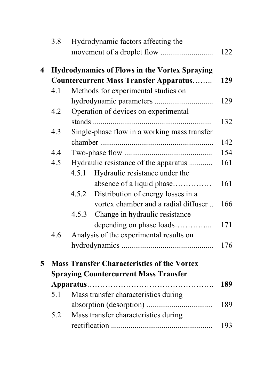|                         | 3.8 | Hydrodynamic factors affecting the                   | 122 |  |
|-------------------------|-----|------------------------------------------------------|-----|--|
| $\overline{\mathbf{4}}$ |     | <b>Hydrodynamics of Flows in the Vortex Spraying</b> |     |  |
|                         |     | <b>Countercurrent Mass Transfer Apparatus</b>        |     |  |
|                         | 4.1 | Methods for experimental studies on                  |     |  |
|                         |     |                                                      | 129 |  |
|                         | 4.2 | Operation of devices on experimental                 |     |  |
|                         |     |                                                      | 132 |  |
|                         | 4.3 | Single-phase flow in a working mass transfer         |     |  |
|                         |     |                                                      | 142 |  |
|                         | 4.4 |                                                      | 154 |  |
|                         | 4.5 | Hydraulic resistance of the apparatus                | 161 |  |
|                         |     | Hydraulic resistance under the<br>4.5.1              |     |  |
|                         |     | absence of a liquid phase                            | 161 |  |
|                         |     | Distribution of energy losses in a<br>4.5.2          |     |  |
|                         |     | vortex chamber and a radial diffuser                 | 166 |  |
|                         |     | Change in hydraulic resistance<br>4.5.3              |     |  |
|                         |     | depending on phase loads                             | 171 |  |
|                         | 4.6 | Analysis of the experimental results on              |     |  |
|                         |     |                                                      | 176 |  |
| $5\overline{)}$         |     | <b>Mass Transfer Characteristics of the Vortex</b>   |     |  |
|                         |     | <b>Spraying Countercurrent Mass Transfer</b>         |     |  |
|                         |     |                                                      | 189 |  |
|                         | 5.1 | Mass transfer characteristics during                 |     |  |
|                         |     |                                                      | 189 |  |
|                         | 5.2 | Mass transfer characteristics during                 |     |  |
|                         |     |                                                      | 193 |  |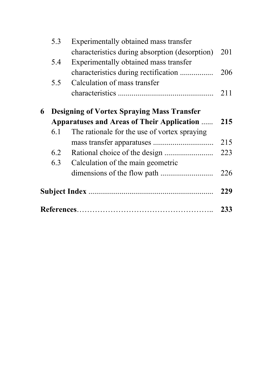| 5.3 | Experimentally obtained mass transfer              |     |
|-----|----------------------------------------------------|-----|
|     | characteristics during absorption (desorption)     | 201 |
| 5.4 | Experimentally obtained mass transfer              |     |
|     | characteristics during rectification               | 206 |
| 5.5 | Calculation of mass transfer                       |     |
|     |                                                    | 211 |
| 6   | <b>Designing of Vortex Spraying Mass Transfer</b>  |     |
|     | <b>Apparatuses and Areas of Their Application </b> | 215 |
| 6.1 | The rationale for the use of vortex spraying       |     |
|     |                                                    | 215 |
| 6.2 |                                                    | 223 |
| 6.3 | Calculation of the main geometric                  |     |
|     |                                                    | 226 |
|     |                                                    | 229 |
|     |                                                    | 233 |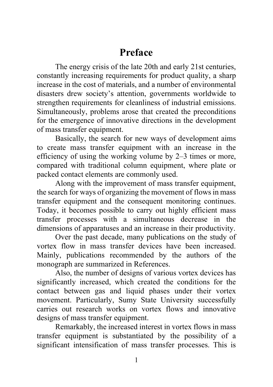Preface

The energy crisis of the late 20th and early 21st centuries, constantly increasing requirements for product quality, a sharp increase in the cost of materials, and a number of environmental disasters drew society's attention, governments worldwide to strengthen requirements for cleanliness of industrial emissions. Simultaneously, problems arose that created the preconditions for the emergence of innovative directions in the development of mass transfer equipment.

Basically, the search for new ways of development aims to create mass transfer equipment with an increase in the efficiency of using the working volume by 2–3 times or more, compared with traditional column equipment, where plate or packed contact elements are commonly used.

Along with the improvement of mass transfer equipment, the search for ways of organizing the movement of flows in mass transfer equipment and the consequent monitoring continues. Today, it becomes possible to carry out highly efficient mass transfer processes with a simultaneous decrease in the dimensions of apparatuses and an increase in their productivity.

Over the past decade, many publications on the study of vortex flow in mass transfer devices have been increased. Mainly, publications recommended by the authors of the monograph are summarized in References.

Also, the number of designs of various vortex devices has significantly increased, which created the conditions for the contact between gas and liquid phases under their vortex movement. Particularly, Sumy State University successfully carries out research works on vortex flows and innovative designs of mass transfer equipment.

Remarkably, the increased interest in vortex flows in mass transfer equipment is substantiated by the possibility of a significant intensification of mass transfer processes. This is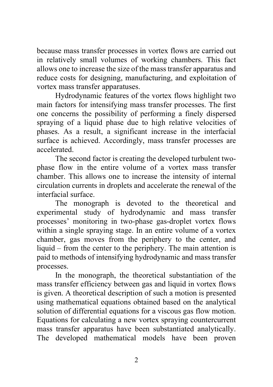because mass transfer processes in vortex flows are carried out in relatively small volumes of working chambers. This fact allows one to increase the size of the mass transfer apparatus and reduce costs for designing, manufacturing, and exploitation of vortex mass transfer apparatuses.

Hydrodynamic features of the vortex flows highlight two main factors for intensifying mass transfer processes. The first one concerns the possibility of performing a finely dispersed spraying of a liquid phase due to high relative velocities of phases. As a result, a significant increase in the interfacial surface is achieved. Accordingly, mass transfer processes are accelerated.

The second factor is creating the developed turbulent twophase flow in the entire volume of a vortex mass transfer chamber. This allows one to increase the intensity of internal circulation currents in droplets and accelerate the renewal of the interfacial surface.

The monograph is devoted to the theoretical and experimental study of hydrodynamic and mass transfer processes' monitoring in two-phase gas-droplet vortex flows within a single spraying stage. In an entire volume of a vortex chamber, gas moves from the periphery to the center, and liquid – from the center to the periphery. The main attention is paid to methods of intensifying hydrodynamic and mass transfer processes.

In the monograph, the theoretical substantiation of the mass transfer efficiency between gas and liquid in vortex flows is given. A theoretical description of such a motion is presented using mathematical equations obtained based on the analytical solution of differential equations for a viscous gas flow motion. Equations for calculating a new vortex spraying countercurrent mass transfer apparatus have been substantiated analytically. The developed mathematical models have been proven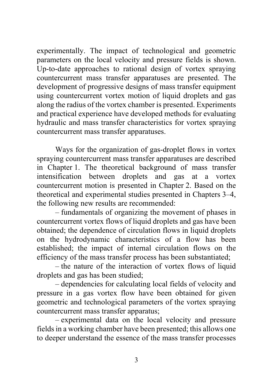experimentally. The impact of technological and geometric parameters on the local velocity and pressure fields is shown. Up-to-date approaches to rational design of vortex spraying countercurrent mass transfer apparatuses are presented. The development of progressive designs of mass transfer equipment using countercurrent vortex motion of liquid droplets and gas along the radius of the vortex chamber is presented. Experiments and practical experience have developed methods for evaluating hydraulic and mass transfer characteristics for vortex spraying countercurrent mass transfer apparatuses.

Ways for the organization of gas-droplet flows in vortex spraying countercurrent mass transfer apparatuses are described in Chapter 1. The theoretical background of mass transfer intensification between droplets and gas at a vortex countercurrent motion is presented in Chapter 2. Based on the theoretical and experimental studies presented in Chapters 3–4, the following new results are recommended:

– fundamentals of organizing the movement of phases in countercurrent vortex flows of liquid droplets and gas have been obtained; the dependence of circulation flows in liquid droplets on the hydrodynamic characteristics of a flow has been established; the impact of internal circulation flows on the efficiency of the mass transfer process has been substantiated;

– the nature of the interaction of vortex flows of liquid droplets and gas has been studied;

– dependencies for calculating local fields of velocity and pressure in a gas vortex flow have been obtained for given geometric and technological parameters of the vortex spraying countercurrent mass transfer apparatus;

– experimental data on the local velocity and pressure fields in a working chamber have been presented; this allows one to deeper understand the essence of the mass transfer processes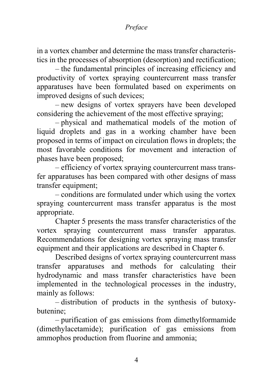#### Preface

in a vortex chamber and determine the mass transfer characteristics in the processes of absorption (desorption) and rectification;

– the fundamental principles of increasing efficiency and productivity of vortex spraying countercurrent mass transfer apparatuses have been formulated based on experiments on improved designs of such devices;

– new designs of vortex sprayers have been developed considering the achievement of the most effective spraying;

– physical and mathematical models of the motion of liquid droplets and gas in a working chamber have been proposed in terms of impact on circulation flows in droplets; the most favorable conditions for movement and interaction of phases have been proposed;

– efficiency of vortex spraying countercurrent mass transfer apparatuses has been compared with other designs of mass transfer equipment;

– conditions are formulated under which using the vortex spraying countercurrent mass transfer apparatus is the most appropriate.

Chapter 5 presents the mass transfer characteristics of the vortex spraying countercurrent mass transfer apparatus. Recommendations for designing vortex spraying mass transfer equipment and their applications are described in Chapter 6.

Described designs of vortex spraying countercurrent mass transfer apparatuses and methods for calculating their hydrodynamic and mass transfer characteristics have been implemented in the technological processes in the industry, mainly as follows:

– distribution of products in the synthesis of butoxybutenine;

– purification of gas emissions from dimethylformamide (dimethylacetamide); purification of gas emissions from ammophos production from fluorine and ammonia;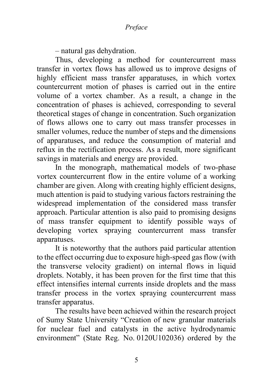– natural gas dehydration.

Thus, developing a method for countercurrent mass transfer in vortex flows has allowed us to improve designs of highly efficient mass transfer apparatuses, in which vortex countercurrent motion of phases is carried out in the entire volume of a vortex chamber. As a result, a change in the concentration of phases is achieved, corresponding to several theoretical stages of change in concentration. Such organization of flows allows one to carry out mass transfer processes in smaller volumes, reduce the number of steps and the dimensions of apparatuses, and reduce the consumption of material and reflux in the rectification process. As a result, more significant savings in materials and energy are provided.

In the monograph, mathematical models of two-phase vortex countercurrent flow in the entire volume of a working chamber are given. Along with creating highly efficient designs, much attention is paid to studying various factors restraining the widespread implementation of the considered mass transfer approach. Particular attention is also paid to promising designs of mass transfer equipment to identify possible ways of developing vortex spraying countercurrent mass transfer apparatuses.

It is noteworthy that the authors paid particular attention to the effect occurring due to exposure high-speed gas flow (with the transverse velocity gradient) on internal flows in liquid droplets. Notably, it has been proven for the first time that this effect intensifies internal currents inside droplets and the mass transfer process in the vortex spraying countercurrent mass transfer apparatus.

The results have been achieved within the research project of Sumy State University "Creation of new granular materials for nuclear fuel and catalysts in the active hydrodynamic environment" (State Reg. No. 0120U102036) ordered by the